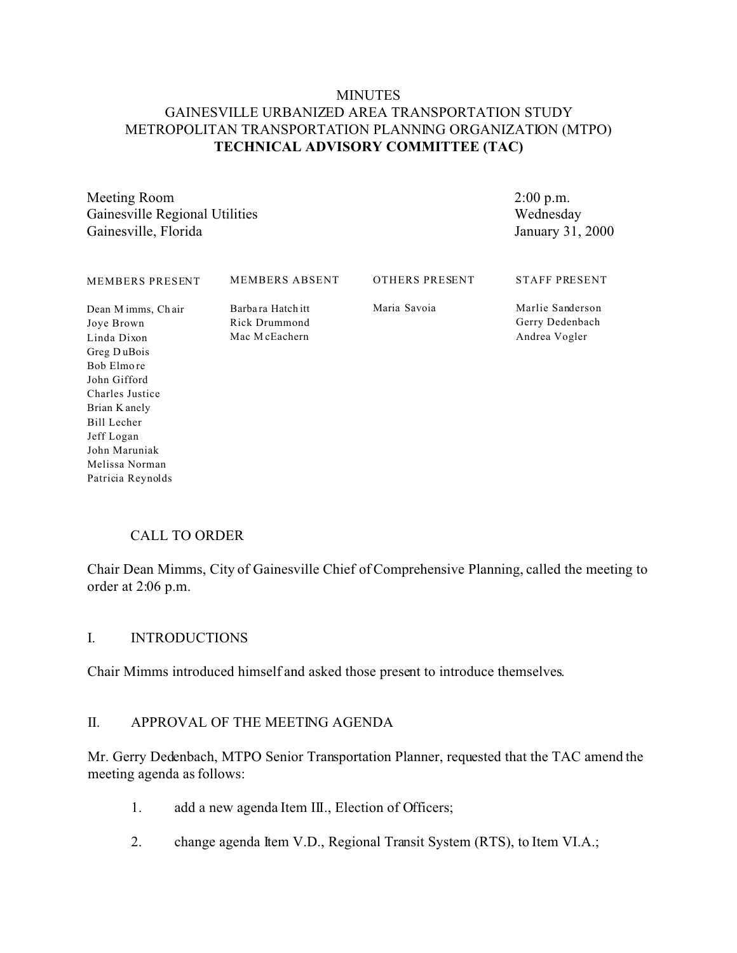#### **MINUTES** GAINESVILLE URBANIZED AREA TRANSPORTATION STUDY METROPOLITAN TRANSPORTATION PLANNING ORGANIZATION (MTPO) **TECHNICAL ADVISORY COMMITTEE (TAC)**

Meeting Room Gainesville Regional Utilities Gainesville, Florida

2:00 p.m. Wednesday January 31, 2000

| MEMBERS PRESENT                                                                                                                                               | <b>MEMBERS ABSENT</b>                               | OTHERS PRESENT | <b>STAFF PRESENT</b>                                 |
|---------------------------------------------------------------------------------------------------------------------------------------------------------------|-----------------------------------------------------|----------------|------------------------------------------------------|
| Dean M imms, Chair<br>Joye Brown<br>Linda Dixon<br>Greg DuBois<br>Bob Elmore<br>John Gifford<br>Charles Justice<br>Brian K anely<br>Bill Lecher<br>Jeff Logan | Barbara Hatch itt<br>Rick Drummond<br>Mac McEachern | Maria Savoia   | Marlie Sanderson<br>Gerry Dedenbach<br>Andrea Vogler |
| John Maruniak                                                                                                                                                 |                                                     |                |                                                      |

## CALL TO ORDER

Melissa Norman Patricia Reynolds

Chair Dean Mimms, City of Gainesville Chief of Comprehensive Planning, called the meeting to order at 2:06 p.m.

#### I. INTRODUCTIONS

Chair Mimms introduced himself and asked those present to introduce themselves.

#### II. APPROVAL OF THE MEETING AGENDA

Mr. Gerry Dedenbach, MTPO Senior Transportation Planner, requested that the TAC amend the meeting agenda as follows:

- 1. add a new agenda Item III., Election of Officers;
- 2. change agenda Item V.D., Regional Transit System (RTS), to Item VI.A.;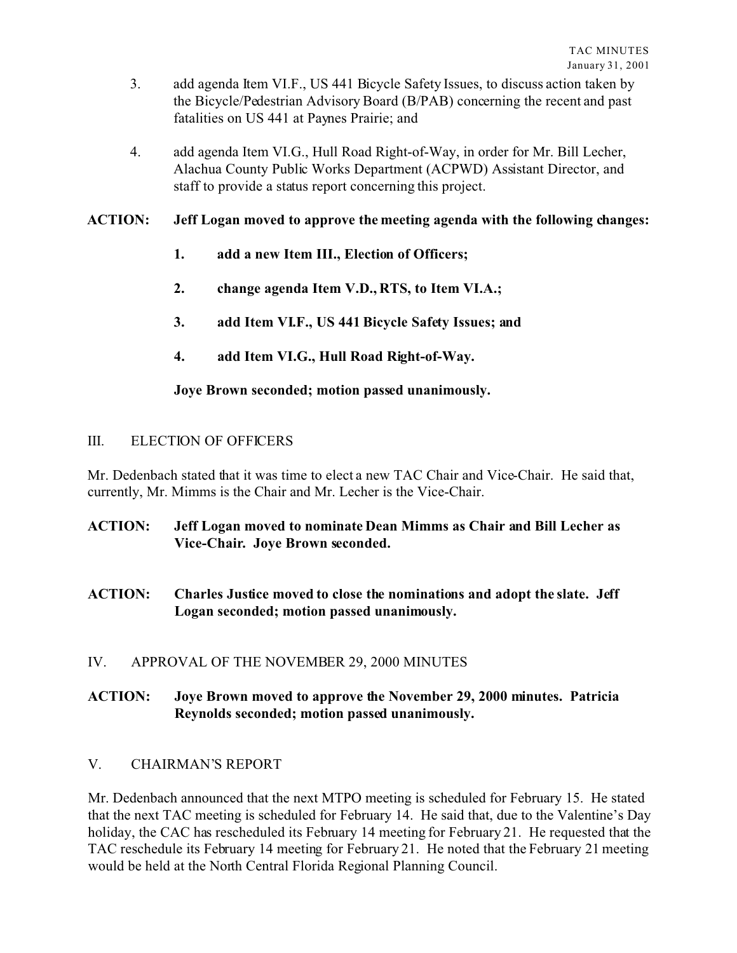- 3. add agenda Item VI.F., US 441 Bicycle Safety Issues, to discuss action taken by the Bicycle/Pedestrian Advisory Board (B/PAB) concerning the recent and past fatalities on US 441 at Paynes Prairie; and
- 4. add agenda Item VI.G., Hull Road Right-of-Way, in order for Mr. Bill Lecher, Alachua County Public Works Department (ACPWD) Assistant Director, and staff to provide a status report concerning this project.

#### **ACTION: Jeff Logan moved to approve the meeting agenda with the following changes:**

- **1. add a new Item III., Election of Officers;**
- **2. change agenda Item V.D., RTS, to Item VI.A.;**
- **3. add Item VI.F., US 441 Bicycle Safety Issues; and**
- **4. add Item VI.G., Hull Road Right-of-Way.**

## **Joye Brown seconded; motion passed unanimously.**

#### III. ELECTION OF OFFICERS

Mr. Dedenbach stated that it was time to elect a new TAC Chair and Vice-Chair. He said that, currently, Mr. Mimms is the Chair and Mr. Lecher is the Vice-Chair.

- **ACTION: Jeff Logan moved to nominate Dean Mimms as Chair and Bill Lecher as Vice-Chair. Joye Brown seconded.**
- **ACTION: Charles Justice moved to close the nominations and adopt the slate. Jeff Logan seconded; motion passed unanimously.**
- IV. APPROVAL OF THE NOVEMBER 29, 2000 MINUTES

## **ACTION: Joye Brown moved to approve the November 29, 2000 minutes. Patricia Reynolds seconded; motion passed unanimously.**

## V. CHAIRMAN'S REPORT

Mr. Dedenbach announced that the next MTPO meeting is scheduled for February 15. He stated that the next TAC meeting is scheduled for February 14. He said that, due to the Valentine's Day holiday, the CAC has rescheduled its February 14 meeting for February 21. He requested that the TAC reschedule its February 14 meeting for February 21. He noted that the February 21 meeting would be held at the North Central Florida Regional Planning Council.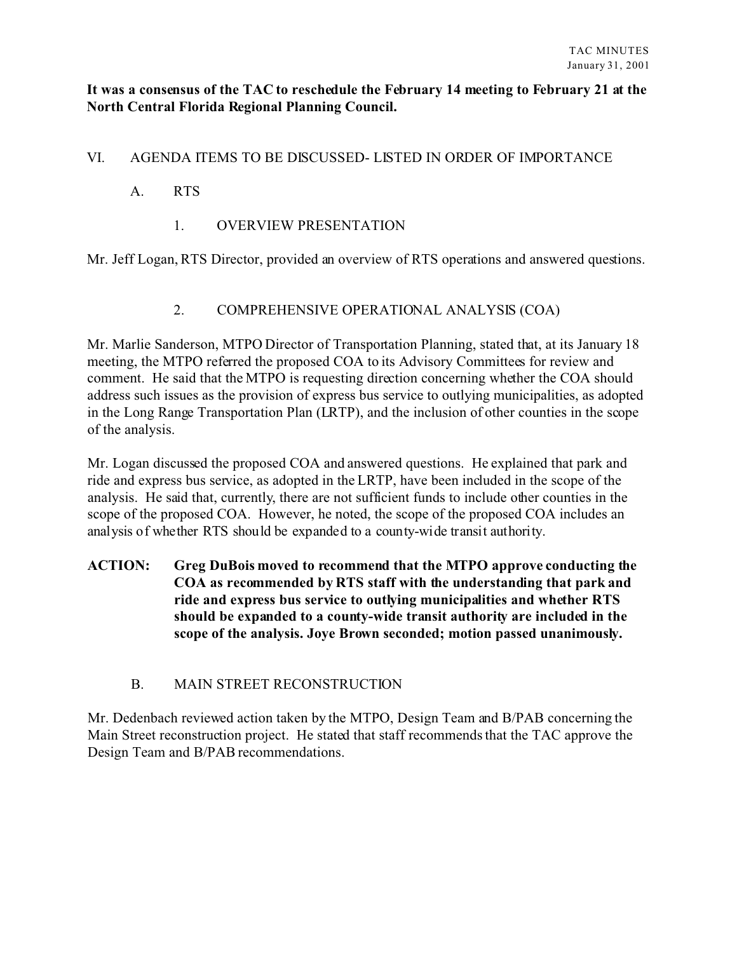#### **It was a consensus of the TAC to reschedule the February 14 meeting to February 21 at the North Central Florida Regional Planning Council.**

# VI. AGENDA ITEMS TO BE DISCUSSED- LISTED IN ORDER OF IMPORTANCE

## A. RTS

1. OVERVIEW PRESENTATION

Mr. Jeff Logan, RTS Director, provided an overview of RTS operations and answered questions.

## 2. COMPREHENSIVE OPERATIONAL ANALYSIS (COA)

Mr. Marlie Sanderson, MTPO Director of Transportation Planning, stated that, at its January 18 meeting, the MTPO referred the proposed COA to its Advisory Committees for review and comment. He said that the MTPO is requesting direction concerning whether the COA should address such issues as the provision of express bus service to outlying municipalities, as adopted in the Long Range Transportation Plan (LRTP), and the inclusion of other counties in the scope of the analysis.

Mr. Logan discussed the proposed COA and answered questions. He explained that park and ride and express bus service, as adopted in the LRTP, have been included in the scope of the analysis. He said that, currently, there are not sufficient funds to include other counties in the scope of the proposed COA. However, he noted, the scope of the proposed COA includes an analysis of whether RTS should be expanded to a county-wide transit authority.

# **ACTION: Greg DuBois moved to recommend that the MTPO approve conducting the COA as recommended by RTS staff with the understanding that park and ride and express bus service to outlying municipalities and whether RTS should be expanded to a county-wide transit authority are included in the scope of the analysis. Joye Brown seconded; motion passed unanimously.**

## B. MAIN STREET RECONSTRUCTION

Mr. Dedenbach reviewed action taken by the MTPO, Design Team and B/PAB concerning the Main Street reconstruction project. He stated that staff recommends that the TAC approve the Design Team and B/PAB recommendations.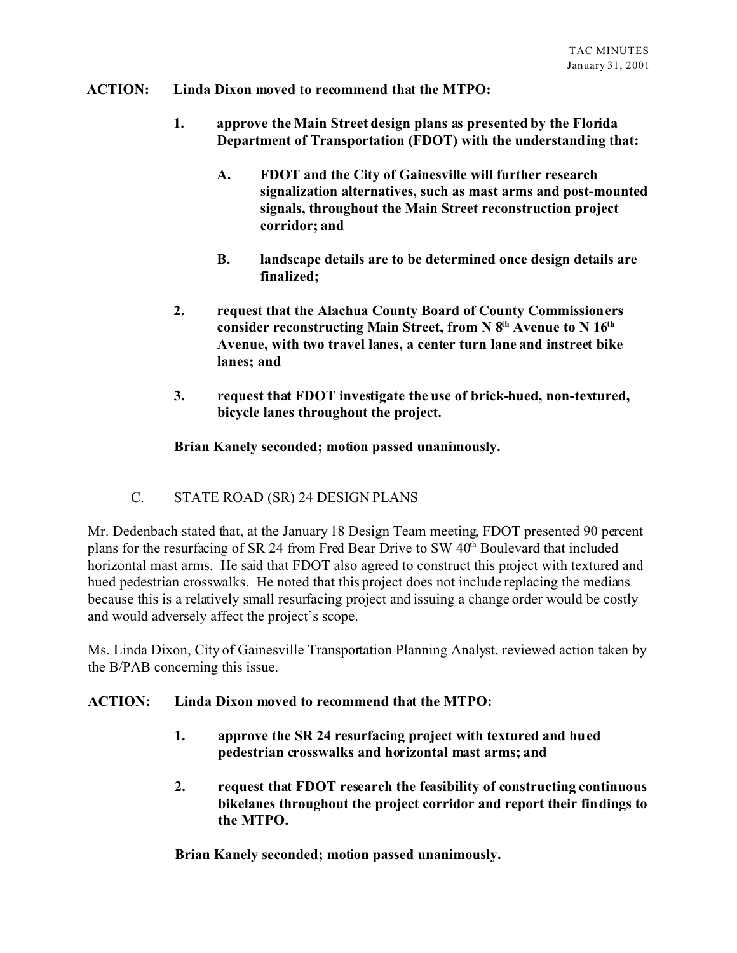#### **ACTION: Linda Dixon moved to recommend that the MTPO:**

- **1. approve the Main Street design plans as presented by the Florida Department of Transportation (FDOT) with the understanding that:**
	- **A. FDOT and the City of Gainesville will further research signalization alternatives, such as mast arms and post-mounted signals, throughout the Main Street reconstruction project corridor; and**
	- **B. landscape details are to be determined once design details are finalized;**
- **2. request that the Alachua County Board of County Commissioners consider reconstructing Main Street, from N 8th Avenue to N 16th Avenue, with two travel lanes, a center turn lane and instreet bike lanes; and**
- **3. request that FDOT investigate the use of brick-hued, non-textured, bicycle lanes throughout the project.**

#### **Brian Kanely seconded; motion passed unanimously.**

C. STATE ROAD (SR) 24 DESIGN PLANS

Mr. Dedenbach stated that, at the January 18 Design Team meeting, FDOT presented 90 percent plans for the resurfacing of SR 24 from Fred Bear Drive to SW 40<sup>th</sup> Boulevard that included horizontal mast arms. He said that FDOT also agreed to construct this project with textured and hued pedestrian crosswalks. He noted that this project does not include replacing the medians because this is a relatively small resurfacing project and issuing a change order would be costly and would adversely affect the project's scope.

Ms. Linda Dixon, City of Gainesville Transportation Planning Analyst, reviewed action taken by the B/PAB concerning this issue.

#### **ACTION: Linda Dixon moved to recommend that the MTPO:**

- **1. approve the SR 24 resurfacing project with textured and hued pedestrian crosswalks and horizontal mast arms; and**
- **2. request that FDOT research the feasibility of constructing continuous bikelanes throughout the project corridor and report their findings to the MTPO.**

**Brian Kanely seconded; motion passed unanimously.**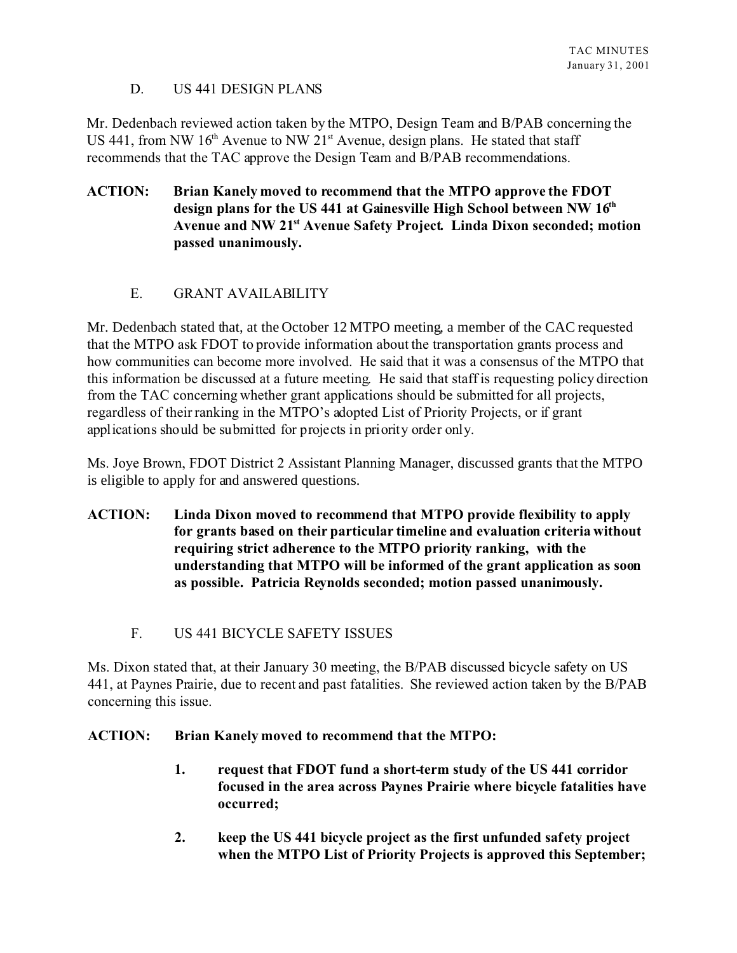## D. US 441 DESIGN PLANS

Mr. Dedenbach reviewed action taken by the MTPO, Design Team and B/PAB concerning the US 441, from NW  $16<sup>th</sup>$  Avenue to NW  $21<sup>st</sup>$  Avenue, design plans. He stated that staff recommends that the TAC approve the Design Team and B/PAB recommendations.

## **ACTION: Brian Kanely moved to recommend that the MTPO approve the FDOT design plans for the US 441 at Gainesville High School between NW 16th Avenue and NW 21st Avenue Safety Project. Linda Dixon seconded; motion passed unanimously.**

# E. GRANT AVAILABILITY

Mr. Dedenbach stated that, at the October 12 MTPO meeting, a member of the CAC requested that the MTPO ask FDOT to provide information about the transportation grants process and how communities can become more involved. He said that it was a consensus of the MTPO that this information be discussed at a future meeting. He said that staff is requesting policy direction from the TAC concerning whether grant applications should be submitted for all projects, regardless of their ranking in the MTPO's adopted List of Priority Projects, or if grant applications should be submitted for projects in priority order only.

Ms. Joye Brown, FDOT District 2 Assistant Planning Manager, discussed grants that the MTPO is eligible to apply for and answered questions.

- **ACTION: Linda Dixon moved to recommend that MTPO provide flexibility to apply for grants based on their particular timeline and evaluation criteria without requiring strict adherence to the MTPO priority ranking, with the understanding that MTPO will be informed of the grant application as soon as possible. Patricia Reynolds seconded; motion passed unanimously.**
	- F. US 441 BICYCLE SAFETY ISSUES

Ms. Dixon stated that, at their January 30 meeting, the B/PAB discussed bicycle safety on US 441, at Paynes Prairie, due to recent and past fatalities. She reviewed action taken by the B/PAB concerning this issue.

## **ACTION: Brian Kanely moved to recommend that the MTPO:**

- **1. request that FDOT fund a short-term study of the US 441 corridor focused in the area across Paynes Prairie where bicycle fatalities have occurred;**
- **2. keep the US 441 bicycle project as the first unfunded safety project when the MTPO List of Priority Projects is approved this September;**